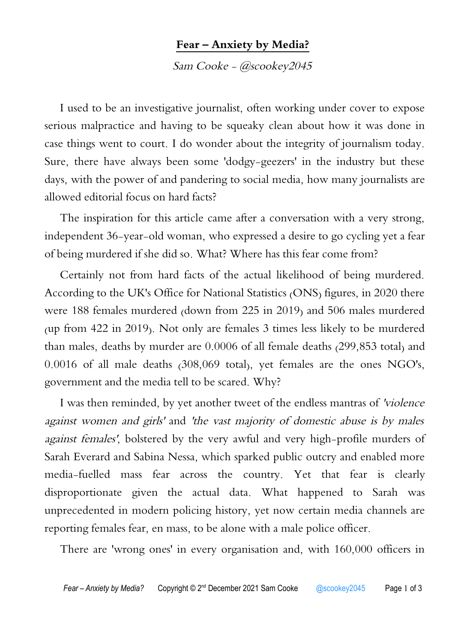## **Fear – Anxiety by Media?**

Sam Cooke - @scookey2045

I used to be an investigative journalist, often working under cover to expose serious malpractice and having to be squeaky clean about how it was done in case things went to court. I do wonder about the integrity of journalism today. Sure, there have always been some 'dodgy-geezers' in the industry but these days, with the power of and pandering to social media, how many journalists are allowed editorial focus on hard facts?

The inspiration for this article came after a conversation with a very strong, independent 36-year-old woman, who expressed a desire to go cycling yet a fear of being murdered if she did so. What? Where has this fear come from?

Certainly not from hard facts of the actual likelihood of being murdered. According to the UK's Office for National Statistics (ONS) figures, in 2020 there were 188 females murdered (down from 225 in 2019) and 506 males murdered (up from 422 in 2019). Not only are females 3 times less likely to be murdered than males, deaths by murder are 0.0006 of all female deaths (299,853 total) and 0.0016 of all male deaths (308,069 total), yet females are the ones NGO's, government and the media tell to be scared. Why?

I was then reminded, by yet another tweet of the endless mantras of 'violence against women and girls' and 'the vast majority of domestic abuse is by males against females', bolstered by the very awful and very high-profile murders of Sarah Everard and Sabina Nessa, which sparked public outcry and enabled more media-fuelled mass fear across the country. Yet that fear is clearly disproportionate given the actual data. What happened to Sarah was unprecedented in modern policing history, yet now certain media channels are reporting females fear, en mass, to be alone with a male police officer.

There are 'wrong ones' in every organisation and, with 160,000 officers in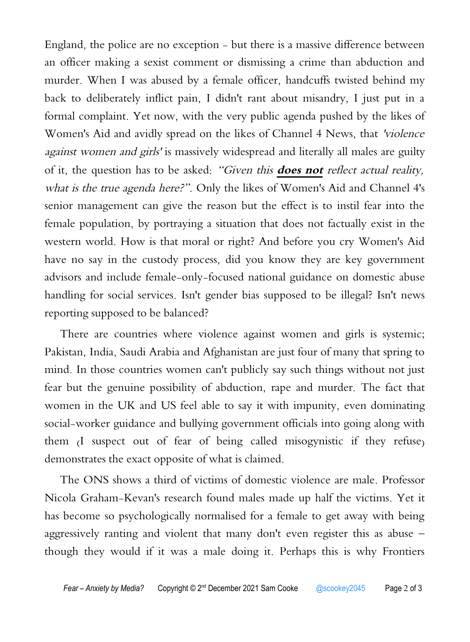England, the police are no exception - but there is a massive difference between an officer making a sexist comment or dismissing a crime than abduction and murder. When I was abused by a female officer, handcuffs twisted behind my back to deliberately inflict pain, I didn't rant about misandry, I just put in a formal complaint. Yet now, with the very public agenda pushed by the likes of Women's Aid and avidly spread on the likes of Channel 4 News, that 'violence against women and girls' is massively widespread and literally all males are guilty of it, the question has to be asked: "Given this **does not** reflect actual reality, what is the true agenda here?". Only the likes of Women's Aid and Channel 4's senior management can give the reason but the effect is to instil fear into the female population, by portraying a situation that does not factually exist in the western world. How is that moral or right? And before you cry Women's Aid have no say in the custody process, did you know they are key government advisors and include female-only-focused national guidance on domestic abuse handling for social services. Isn't gender bias supposed to be illegal? Isn't news reporting supposed to be balanced?

There are countries where violence against women and girls is systemic; Pakistan, India, Saudi Arabia and Afghanistan are just four of many that spring to mind. In those countries women can't publicly say such things without not just fear but the genuine possibility of abduction, rape and murder. The fact that women in the UK and US feel able to say it with impunity, even dominating social-worker guidance and bullying government officials into going along with them (I suspect out of fear of being called misogynistic if they refuse) demonstrates the exact opposite of what is claimed.

The ONS shows a third of victims of domestic violence are male. Professor Nicola Graham-Kevan's research found males made up half the victims. Yet it has become so psychologically normalised for a female to get away with being aggressively ranting and violent that many don't even register this as abuse – though they would if it was a male doing it. Perhaps this is why Frontiers